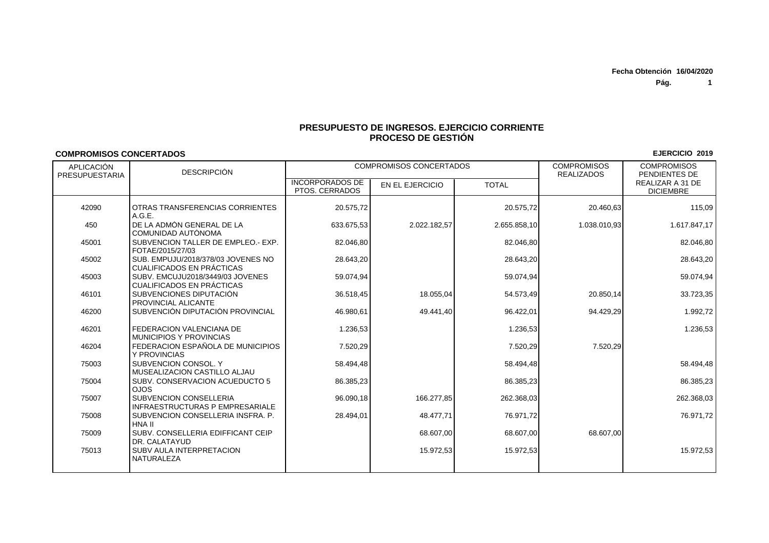**Pág. 1**

**EJERCICIO 2019**

## **PRESUPUESTO DE INGRESOS. EJERCICIO CORRIENTEPROCESO DE GESTIÓN**

## **COMPROMISOS CONCERTADOS**

| APLICACIÓN<br>PRESUPUESTARIA | <b>DESCRIPCIÓN</b>                                                      | <b>COMPROMISOS CONCERTADOS</b>           |                 |              | <b>COMPROMISOS</b><br><b>REALIZADOS</b> | <b>COMPROMISOS</b><br>PENDIENTES DE  |
|------------------------------|-------------------------------------------------------------------------|------------------------------------------|-----------------|--------------|-----------------------------------------|--------------------------------------|
|                              |                                                                         | <b>INCORPORADOS DE</b><br>PTOS, CERRADOS | EN EL EJERCICIO | <b>TOTAL</b> |                                         | REALIZAR A 31 DE<br><b>DICIEMBRE</b> |
| 42090                        | OTRAS TRANSFERENCIAS CORRIENTES<br>A.G.E.                               | 20.575,72                                |                 | 20.575,72    | 20.460,63                               | 115,09                               |
| 450                          | DE LA ADMON GENERAL DE LA<br>COMUNIDAD AUTÓNOMA                         | 633.675,53                               | 2.022.182,57    | 2.655.858,10 | 1.038.010,93                            | 1.617.847,17                         |
| 45001                        | SUBVENCION TALLER DE EMPLEO.- EXP.<br>FOTAE/2015/27/03                  | 82.046,80                                |                 | 82.046,80    |                                         | 82.046,80                            |
| 45002                        | SUB. EMPUJU/2018/378/03 JÓVENES NO<br><b>CUALIFICADOS EN PRÁCTICAS</b>  | 28.643,20                                |                 | 28.643,20    |                                         | 28.643,20                            |
| 45003                        | SUBV. EMCUJU2018/3449/03 JOVENES<br><b>CUALIFICADOS EN PRÁCTICAS</b>    | 59.074,94                                |                 | 59.074,94    |                                         | 59.074,94                            |
| 46101                        | SUBVENCIONES DIPUTACIÓN<br>PROVINCIAL ALICANTE                          | 36.518,45                                | 18.055.04       | 54.573,49    | 20.850,14                               | 33.723,35                            |
| 46200                        | SUBVENCIÓN DIPUTACIÓN PROVINCIAL                                        | 46.980.61                                | 49.441.40       | 96.422.01    | 94.429.29                               | 1.992,72                             |
| 46201                        | FEDERACION VALENCIANA DE<br><b>MUNICIPIOS Y PROVINCIAS</b>              | 1.236,53                                 |                 | 1.236,53     |                                         | 1.236,53                             |
| 46204                        | FEDERACION ESPAÑOLA DE MUNICIPIOS<br>Y PROVINCIAS                       | 7.520,29                                 |                 | 7.520,29     | 7.520,29                                |                                      |
| 75003                        | SUBVENCION CONSOL, Y<br>MUSEALIZACION CASTILLO ALJAU                    | 58.494,48                                |                 | 58.494,48    |                                         | 58.494,48                            |
| 75004                        | SUBV. CONSERVACION ACUEDUCTO 5<br><b>OJOS</b>                           | 86.385,23                                |                 | 86.385,23    |                                         | 86.385,23                            |
| 75007                        | <b>SUBVENCION CONSELLERIA</b><br><b>INFRAESTRUCTURAS P EMPRESARIALE</b> | 96.090,18                                | 166.277.85      | 262.368,03   |                                         | 262.368,03                           |
| 75008                        | SUBVENCION CONSELLERIA INSFRA. P.<br>HNA II                             | 28.494,01                                | 48.477,71       | 76.971,72    |                                         | 76.971,72                            |
| 75009                        | SUBV. CONSELLERIA EDIFFICANT CEIP<br>DR. CALATAYUD                      |                                          | 68.607,00       | 68.607,00    | 68.607,00                               |                                      |
| 75013                        | SUBV AULA INTERPRETACION<br><b>NATURALEZA</b>                           |                                          | 15.972,53       | 15.972,53    |                                         | 15.972,53                            |
|                              |                                                                         |                                          |                 |              |                                         |                                      |